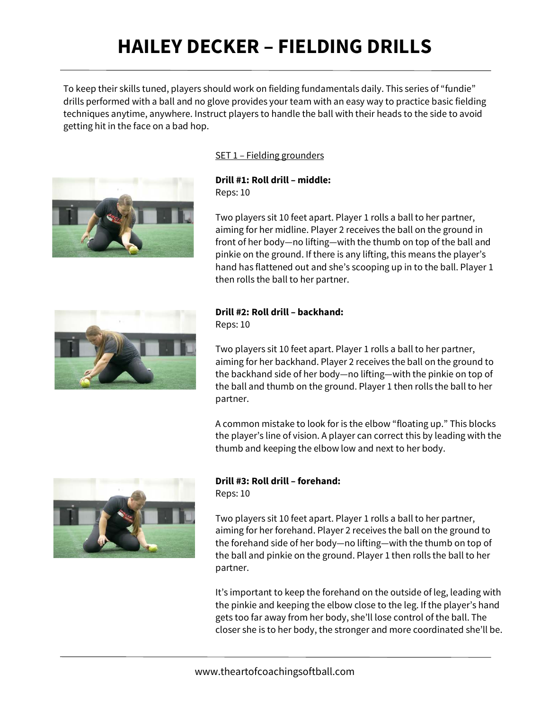# **HAILEY DECKER – FIELDING DRILLS**

To keep their skills tuned, players should work on fielding fundamentals daily. This series of "fundie" drills performed with a ball and no glove provides your team with an easy way to practice basic fielding techniques anytime, anywhere. Instruct players to handle the ball with their heads to the side to avoid getting hit in the face on a bad hop.



## SET 1 – Fielding grounders

 Reps: 10 **Drill #1: Roll drill – middle:** 

Two players sit 10 feet apart. Player 1 rolls a ball to her partner, aiming for her midline. Player 2 receives the ball on the ground in front of her body—no lifting—with the thumb on top of the ball and pinkie on the ground. If there is any lifting, this means the player's hand has flattened out and she's scooping up in to the ball. Player 1 then rolls the ball to her partner.



## **Drill #2: Roll drill – backhand:**

Reps: 10

Two players sit 10 feet apart. Player 1 rolls a ball to her partner, aiming for her backhand. Player 2 receives the ball on the ground to the backhand side of her body—no lifting—with the pinkie on top of the ball and thumb on the ground. Player 1 then rolls the ball to her partner.

A common mistake to look for is the elbow "floating up." This blocks the player's line of vision. A player can correct this by leading with the thumb and keeping the elbow low and next to her body.



## **Drill #3: Roll drill – forehand:**

Reps: 10

Two players sit 10 feet apart. Player 1 rolls a ball to her partner, aiming for her forehand. Player 2 receives the ball on the ground to the forehand side of her body—no lifting—with the thumb on top of the ball and pinkie on the ground. Player 1 then rolls the ball to her partner.

It's important to keep the forehand on the outside of leg, leading with the pinkie and keeping the elbow close to the leg. If the player's hand gets too far away from her body, she'll lose control of the ball. The closer she is to her body, the stronger and more coordinated she'll be.